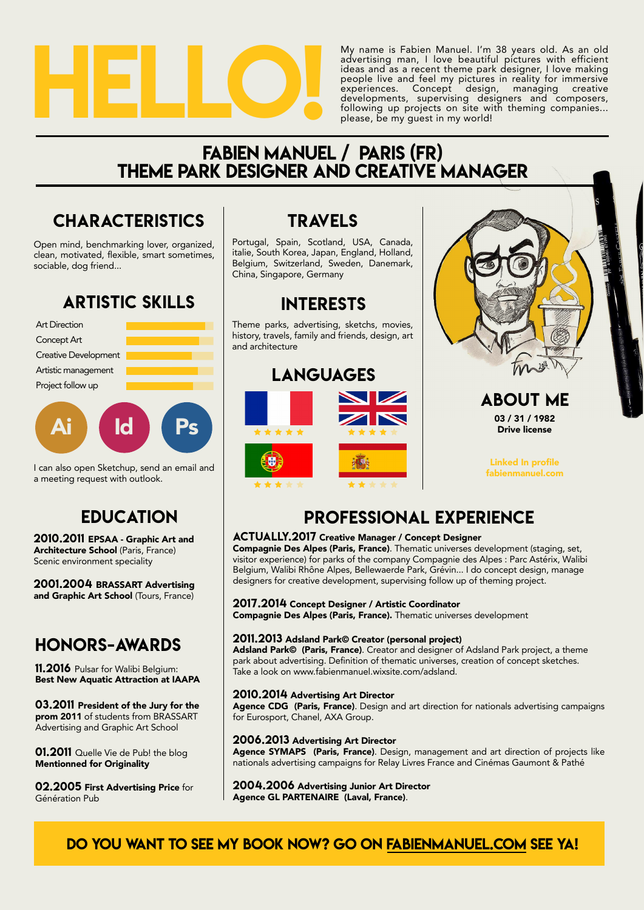

My name is Fabien Manuel. I'm 38 years old. As an old advertising man, I love beautiful pictures with efficient ideas and as a recent theme park designer, I love making people live and feel my pictures in reality for immersive experiences. Concept design, managing creative developments, supervising designers and composers, following up projects on site with theming companies... please, be my guest in my world!

## fabien manuel / paris (FR) theme park designer AND creative manager

## **CHARACTERISTICS**

Open mind, benchmarking lover, organized, clean, motivated, flexible, smart sometimes, sociable, dog friend...

## ARTISTIC SKILLS





I can also open Sketchup, send an email and a meeting request with outlook.

## **EDUCATION**

2010.2011 EPSAA - Graphic Art and Architecture School (Paris, France) Scenic environment speciality

2001.2004 BRASSART Advertising and Graphic Art School (Tours, France)

## Honors-Awards

11.2016 Pulsar for Walibi Belgium: Best New Aquatic Attraction at IAAPA

03.2011 President of the Jury for the prom 2011 of students from BRASSART Advertising and Graphic Art School

01.2011 Quelle Vie de Pub! the blog Mentionned for Originality

02.2005 First Advertising Price for Génération Pub

## travels

Portugal, Spain, Scotland, USA, Canada, italie, South Korea, Japan, England, Holland, Belgium, Switzerland, Sweden, Danemark, China, Singapore, Germany

## interests

Theme parks, advertising, sketchs, movies, history, travels, family and friends, design, art and architecture





#### about me 03 / 31 / 1982 Drive license

Linked In profile fabienmanuel.com

## professional experience

#### ACTUALLY.2017 Creative Manager / Concept Designer

Compagnie Des Alpes (Paris, France). Thematic universes development (staging, set, visitor experience) for parks of the company Compagnie des Alpes : Parc Astérix, Walibi Belgium, Walibi Rhône Alpes, Bellewaerde Park, Grévin... I do concept design, manage designers for creative development, supervising follow up of theming project.

#### 2017.2014 Concept Designer / Artistic Coordinator

Compagnie Des Alpes (Paris, France). Thematic universes development

#### 2011.2013 Adsland Park© Creator (personal project)

Adsland Park© (Paris, France). Creator and designer of Adsland Park project, a theme [park about advertising. Definition of thematic universes, creation of concept sketches.](www.fabienmanuel.wixsite.com/adsland) Take a look on www.fabienmanuel.wixsite.com/adsland.

#### 2010.2014 Advertising Art Director

Agence CDG (Paris, France). Design and art direction for nationals advertising campaigns for Eurosport, Chanel, AXA Group.

#### 2006.2013 Advertising Art Director

Agence SYMAPS (Paris, France). Design, management and art direction of projects like nationals advertising campaigns for Relay Livres France and Cinémas Gaumont & Pathé

2004.2006 Advertising Junior Art Director Agence GL PARTENAIRE (Laval, France).

### [do you want to see my book now? go on fabienmanuel.com see ya!](www.fabienmanuel.com)